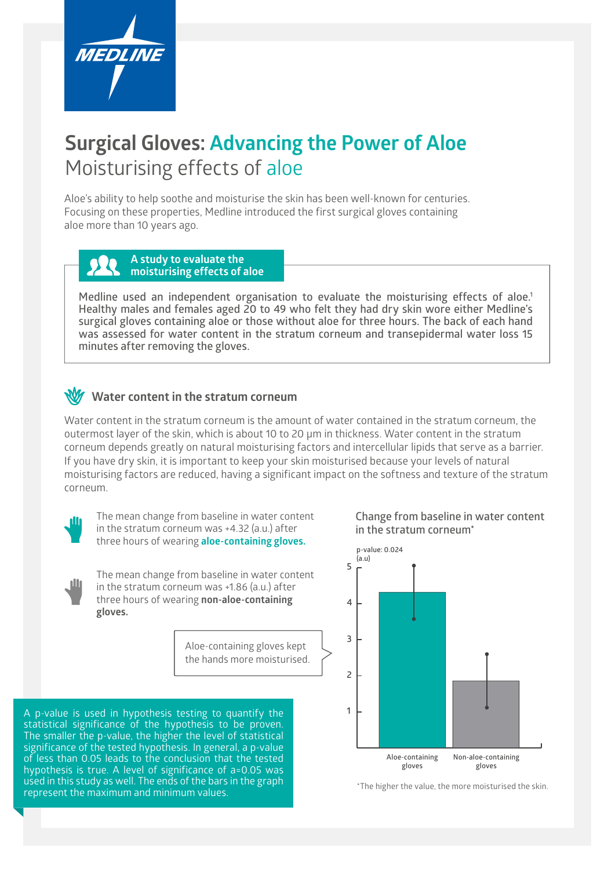

## **Surgical Gloves: Advancing the Power of Aloe** Moisturising effects of aloe

Aloe's ability to help soothe and moisturise the skin has been well-known for centuries. Focusing on these properties, Medline introduced the first surgical gloves containing aloe more than 10 years ago.

## **A study to evaluate the moisturising effects of aloe**

**Medline used an independent organisation to evaluate the moisturising effects of aloe.1 Healthy males and females aged 20 to 49 who felt they had dry skin wore either Medline's surgical gloves containing aloe or those without aloe for three hours. The back of each hand was assessed for water content in the stratum corneum and transepidermal water loss 15 minutes after removing the gloves.**

## **Water content in the stratum corneum**

Water content in the stratum corneum is the amount of water contained in the stratum corneum, the outermost layer of the skin, which is about 10 to 20 µm in thickness. Water content in the stratum corneum depends greatly on natural moisturising factors and intercellular lipids that serve as a barrier. If you have dry skin, it is important to keep your skin moisturised because your levels of natural moisturising factors are reduced, having a significant impact on the softness and texture of the stratum corneum.



The mean change from baseline in water content in the stratum corneum was +4.32 (a.u.) after three hours of wearing **aloe-containing gloves.**

The mean change from baseline in water content in the stratum corneum was +1.86 (a.u.) after three hours of wearing **non-aloe-containing gloves.**

> Aloe-containing gloves kept the hands more moisturised.

A p-value is used in hypothesis testing to quantify the statistical significance of the hypothesis to be proven. The smaller the p-value, the higher the level of statistical significance of the tested hypothesis. In general, a p-value of less than 0.05 leads to the conclusion that the tested hypothesis is true. A level of significance of a=0.05 was used in this study as well. The ends of the bars in the graph represent the maximum and minimum values.

**Change from baseline in water content in the stratum corneum\***



\*The higher the value, the more moisturised the skin.